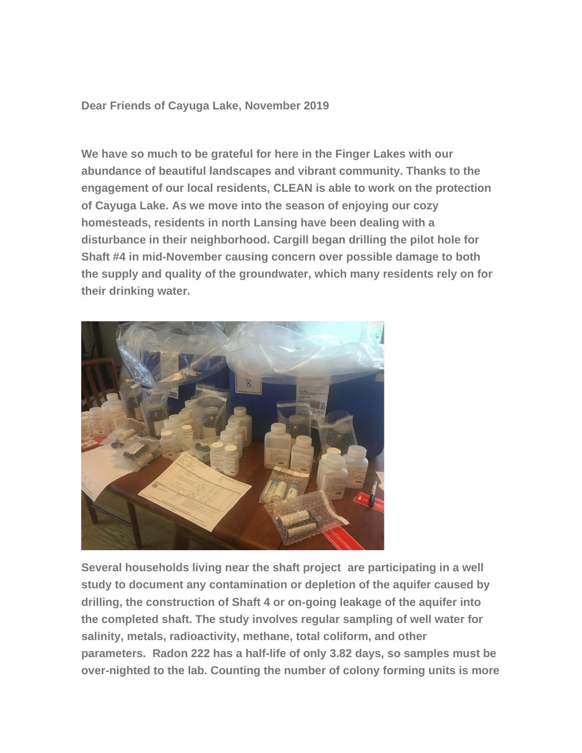**Dear Friends of Cayuga Lake, November 2019**

**We have so much to be grateful for here in the Finger Lakes with our abundance of beautiful landscapes and vibrant community. Thanks to the engagement of our local residents, CLEAN is able to work on the protection of Cayuga Lake. As we move into the season of enjoying our cozy homesteads, residents in north Lansing have been dealing with a disturbance in their neighborhood. Cargill began drilling the pilot hole for Shaft #4 in mid-November causing concern over possible damage to both the supply and quality of the groundwater, which many residents rely on for their drinking water.**



**Several households living near the shaft project are participating in a well study to document any contamination or depletion of the aquifer caused by drilling, the construction of Shaft 4 or on-going leakage of the aquifer into the completed shaft. The study involves regular sampling of well water for salinity, metals, radioactivity, methane, total coliform, and other parameters. Radon 222 has a half-life of only 3.82 days, so samples must be over-nighted to the lab. Counting the number of colony forming units is more**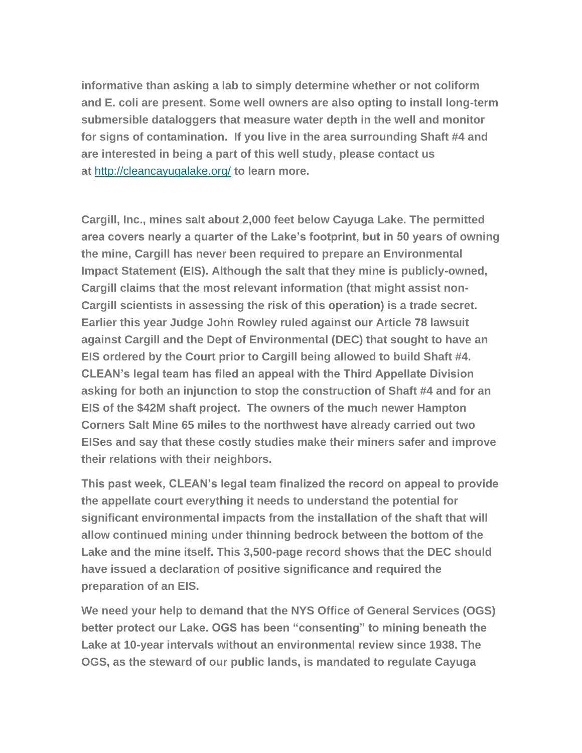**informative than asking a lab to simply determine whether or not coliform and E. coli are present. Some well owners are also opting to install long-term submersible dataloggers that measure water depth in the well and monitor for signs of contamination. If you live in the area surrounding Shaft #4 and are interested in being a part of this well study, please contact us at** <http://cleancayugalake.org/> **to learn more.**

**Cargill, Inc., mines salt about 2,000 feet below Cayuga Lake. The permitted area covers nearly a quarter of the Lake's footprint, but in 50 years of owning the mine, Cargill has never been required to prepare an Environmental Impact Statement (EIS). Although the salt that they mine is publicly-owned, Cargill claims that the most relevant information (that might assist non-Cargill scientists in assessing the risk of this operation) is a trade secret. Earlier this year Judge John Rowley ruled against our Article 78 lawsuit against Cargill and the Dept of Environmental (DEC) that sought to have an EIS ordered by the Court prior to Cargill being allowed to build Shaft #4. CLEAN's legal team has filed an appeal with the Third Appellate Division asking for both an injunction to stop the construction of Shaft #4 and for an EIS of the \$42M shaft project. The owners of the much newer Hampton Corners Salt Mine 65 miles to the northwest have already carried out two EISes and say that these costly studies make their miners safer and improve their relations with their neighbors.** 

**This past week, CLEAN's legal team finalized the record on appeal to provide the appellate court everything it needs to understand the potential for significant environmental impacts from the installation of the shaft that will allow continued mining under thinning bedrock between the bottom of the Lake and the mine itself. This 3,500-page record shows that the DEC should have issued a declaration of positive significance and required the preparation of an EIS.**

**We need your help to demand that the NYS Office of General Services (OGS) better protect our Lake. OGS has been "consenting" to mining beneath the Lake at 10-year intervals without an environmental review since 1938. The OGS, as the steward of our public lands, is mandated to regulate Cayuga**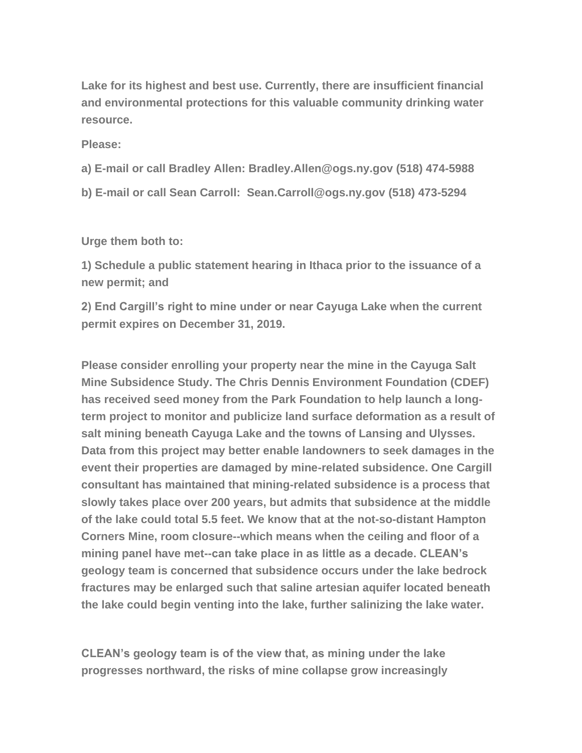**Lake for its highest and best use. Currently, there are insufficient financial and environmental protections for this valuable community drinking water resource.**

**Please:**

- **a) E-mail or call Bradley Allen: Bradley.Allen@ogs.ny.gov (518) 474-5988**
- **b) E-mail or call Sean Carroll: Sean.Carroll@ogs.ny.gov (518) 473-5294**

**Urge them both to:**

**1) Schedule a public statement hearing in Ithaca prior to the issuance of a new permit; and**

**2) End Cargill's right to mine under or near Cayuga Lake when the current permit expires on December 31, 2019.**

**Please consider enrolling your property near the mine in the Cayuga Salt Mine Subsidence Study. The Chris Dennis Environment Foundation (CDEF) has received seed money from the Park Foundation to help launch a longterm project to monitor and publicize land surface deformation as a result of salt mining beneath Cayuga Lake and the towns of Lansing and Ulysses. Data from this project may better enable landowners to seek damages in the event their properties are damaged by mine-related subsidence. One Cargill consultant has maintained that mining-related subsidence is a process that slowly takes place over 200 years, but admits that subsidence at the middle of the lake could total 5.5 feet. We know that at the not-so-distant Hampton Corners Mine, room closure--which means when the ceiling and floor of a mining panel have met--can take place in as little as a decade. CLEAN's geology team is concerned that subsidence occurs under the lake bedrock fractures may be enlarged such that saline artesian aquifer located beneath the lake could begin venting into the lake, further salinizing the lake water.**

**CLEAN's geology team is of the view that, as mining under the lake progresses northward, the risks of mine collapse grow increasingly**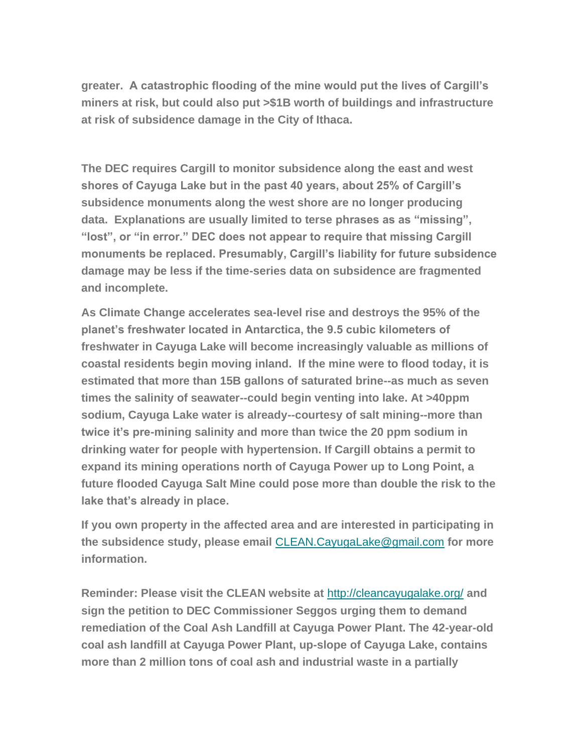**greater. A catastrophic flooding of the mine would put the lives of Cargill's miners at risk, but could also put >\$1B worth of buildings and infrastructure at risk of subsidence damage in the City of Ithaca.**

**The DEC requires Cargill to monitor subsidence along the east and west shores of Cayuga Lake but in the past 40 years, about 25% of Cargill's subsidence monuments along the west shore are no longer producing data. Explanations are usually limited to terse phrases as as "missing", "lost", or "in error." DEC does not appear to require that missing Cargill monuments be replaced. Presumably, Cargill's liability for future subsidence damage may be less if the time-series data on subsidence are fragmented and incomplete.** 

**As Climate Change accelerates sea-level rise and destroys the 95% of the planet's freshwater located in Antarctica, the 9.5 cubic kilometers of freshwater in Cayuga Lake will become increasingly valuable as millions of coastal residents begin moving inland. If the mine were to flood today, it is estimated that more than 15B gallons of saturated brine--as much as seven times the salinity of seawater--could begin venting into lake. At >40ppm sodium, Cayuga Lake water is already--courtesy of salt mining--more than twice it's pre-mining salinity and more than twice the 20 ppm sodium in drinking water for people with hypertension. If Cargill obtains a permit to expand its mining operations north of Cayuga Power up to Long Point, a future flooded Cayuga Salt Mine could pose more than double the risk to the lake that's already in place.**

**If you own property in the affected area and are interested in participating in the subsidence study, please email** [CLEAN.CayugaLake@gmail.com](mailto:CLEAN.CayugaLake@gmail.com) **for more information.**

**Reminder: Please visit the CLEAN website at** <http://cleancayugalake.org/> **and sign the petition to DEC Commissioner Seggos urging them to demand remediation of the Coal Ash Landfill at Cayuga Power Plant. The 42-year-old coal ash landfill at Cayuga Power Plant, up-slope of Cayuga Lake, contains more than 2 million tons of coal ash and industrial waste in a partially**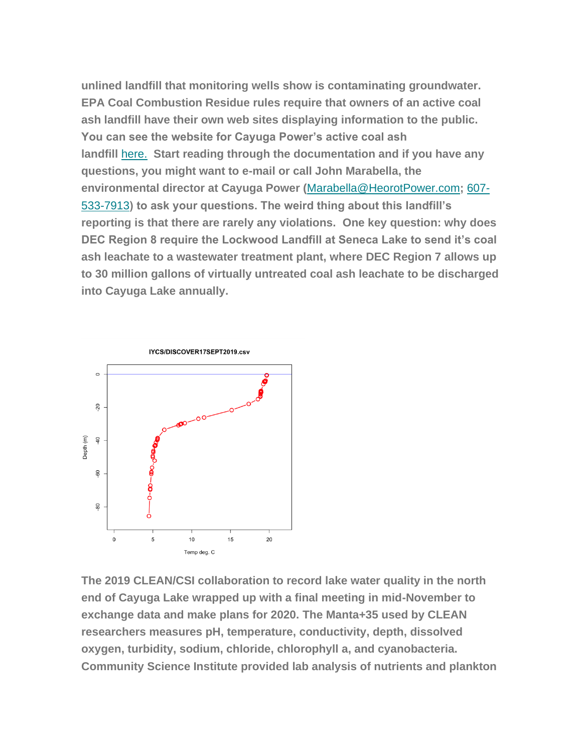**unlined landfill that monitoring wells show is contaminating groundwater. EPA Coal Combustion Residue rules require that owners of an active coal ash landfill have their own web sites displaying information to the public. You can see the website for Cayuga Power's active coal ash landfill** [here.](https://scoc1.weebly.com/) **Start reading through the documentation and if you have any questions, you might want to e-mail or call John Marabella, the environmental director at Cayuga Power (**[Marabella@HeorotPower.com](mailto:Marabella@HeorotPower.com)**;** [607-](https://hangouts.google.com/?action=chat&pn=%2B16075337913&hl=en&authuser=0) [533-7913](https://hangouts.google.com/?action=chat&pn=%2B16075337913&hl=en&authuser=0)**) to ask your questions. The weird thing about this landfill's reporting is that there are rarely any violations. One key question: why does DEC Region 8 require the Lockwood Landfill at Seneca Lake to send it's coal ash leachate to a wastewater treatment plant, where DEC Region 7 allows up to 30 million gallons of virtually untreated coal ash leachate to be discharged into Cayuga Lake annually.** 



**The 2019 CLEAN/CSI collaboration to record lake water quality in the north end of Cayuga Lake wrapped up with a final meeting in mid-November to exchange data and make plans for 2020. The Manta+35 used by CLEAN researchers measures pH, temperature, conductivity, depth, dissolved oxygen, turbidity, sodium, chloride, chlorophyll a, and cyanobacteria. Community Science Institute provided lab analysis of nutrients and plankton**